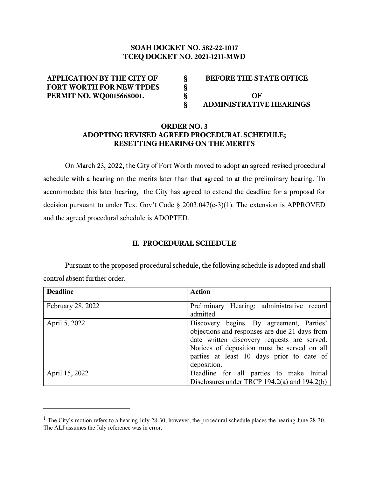# **SOAH DOCKET NO. 582-22-1017 TCEQ DOCKET NO. 2021-1211-MWD**

| <b>APPLICATION BY THE CITY OF</b> | <b>BEFORE THE STATE OFFICE</b> |
|-----------------------------------|--------------------------------|
| <b>FORT WORTH FOR NEW TPDES</b>   |                                |
| <b>PERMIT NO. WQ0015668001.</b>   | OF                             |
|                                   | <b>ADMINISTRATIVE HEARINGS</b> |

## **ORDER NO. 3 ADOPTING REVISED AGREED PROCEDURAL SCHEDULE; RESETTING HEARING ON THE MERITS**

On March 23, 2022, the City of Fort Worth moved to adopt an agreed revised procedural schedule with a hearing on the merits later than that agreed to at the preliminary hearing. To accommodate this later hearing,<sup>[1](#page-0-0)</sup> the City has agreed to extend the deadline for a proposal for decision pursuant to under Tex. Gov't Code § 2003.047(e-3)(1). The extension is APPROVED and the agreed procedural schedule is ADOPTED.

## **II. PROCEDURAL SCHEDULE**

Pursuant to the proposed procedural schedule, the following schedule is adopted and shall control absent further order.

| <b>Deadline</b>   | <b>Action</b>                                                                                                                                                                                                                                       |
|-------------------|-----------------------------------------------------------------------------------------------------------------------------------------------------------------------------------------------------------------------------------------------------|
| February 28, 2022 | Preliminary Hearing; administrative record<br>admitted                                                                                                                                                                                              |
| April 5, 2022     | Discovery begins. By agreement, Parties'<br>objections and responses are due 21 days from<br>date written discovery requests are served.<br>Notices of deposition must be served on all<br>parties at least 10 days prior to date of<br>deposition. |
| April 15, 2022    | Deadline for all parties to make Initial<br>Disclosures under TRCP 194.2(a) and 194.2(b)                                                                                                                                                            |

<span id="page-0-0"></span> $1$  The City's motion refers to a hearing July 28-30, however, the procedural schedule places the hearing June 28-30. The ALJ assumes the July reference was in error.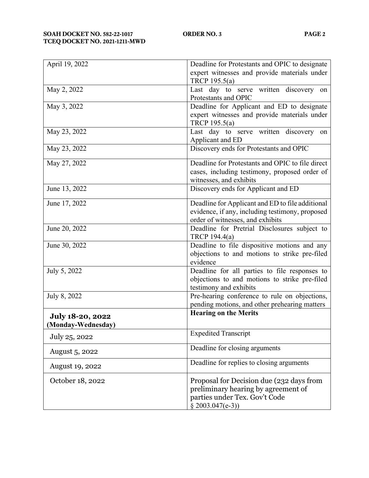| April 19, 2022          | Deadline for Protestants and OPIC to designate   |
|-------------------------|--------------------------------------------------|
|                         | expert witnesses and provide materials under     |
|                         | TRCP 195.5(a)                                    |
| May 2, 2022             | Last day to serve written discovery on           |
|                         | Protestants and OPIC                             |
| May 3, 2022             | Deadline for Applicant and ED to designate       |
|                         | expert witnesses and provide materials under     |
|                         | TRCP 195.5(a)                                    |
| May 23, 2022            | Last day to serve written discovery<br>on        |
|                         | Applicant and ED                                 |
| May 23, 2022            | Discovery ends for Protestants and OPIC          |
|                         |                                                  |
| May 27, 2022            | Deadline for Protestants and OPIC to file direct |
|                         | cases, including testimony, proposed order of    |
|                         | witnesses, and exhibits                          |
| June 13, 2022           | Discovery ends for Applicant and ED              |
| June 17, 2022           | Deadline for Applicant and ED to file additional |
|                         | evidence, if any, including testimony, proposed  |
|                         | order of witnesses, and exhibits                 |
| June 20, 2022           | Deadline for Pretrial Disclosures subject to     |
|                         | TRCP 194.4(a)                                    |
| June 30, 2022           | Deadline to file dispositive motions and any     |
|                         | objections to and motions to strike pre-filed    |
|                         | evidence                                         |
| July 5, 2022            | Deadline for all parties to file responses to    |
|                         | objections to and motions to strike pre-filed    |
|                         | testimony and exhibits                           |
| July 8, 2022            | Pre-hearing conference to rule on objections,    |
|                         | pending motions, and other prehearing matters    |
| <b>July 18-20, 2022</b> | <b>Hearing on the Merits</b>                     |
| (Monday-Wednesday)      |                                                  |
|                         | <b>Expedited Transcript</b>                      |
| July 25, 2022           |                                                  |
| August 5, 2022          | Deadline for closing arguments                   |
|                         | Deadline for replies to closing arguments        |
| <b>August 19, 2022</b>  |                                                  |
| October 18, 2022        | Proposal for Decision due (232 days from         |
|                         | preliminary hearing by agreement of              |
|                         | parties under Tex. Gov't Code                    |
|                         | $§ 2003.047(e-3))$                               |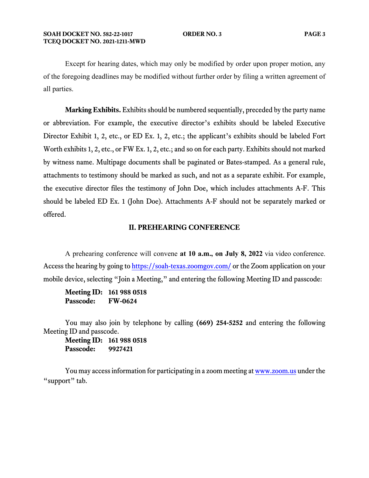Except for hearing dates, which may only be modified by order upon proper motion, any of the foregoing deadlines may be modified without further order by filing a written agreement of all parties.

**Marking Exhibits.** Exhibits should be numbered sequentially, preceded by the party name or abbreviation. For example, the executive director's exhibits should be labeled Executive Director Exhibit 1, 2, etc., or ED Ex. 1, 2, etc.; the applicant's exhibits should be labeled Fort Worth exhibits 1, 2, etc., or FW Ex. 1, 2, etc.; and so on for each party. Exhibits should not marked by witness name. Multipage documents shall be paginated or Bates-stamped. As a general rule, attachments to testimony should be marked as such, and not as a separate exhibit. For example, the executive director files the testimony of John Doe, which includes attachments A-F. This should be labeled ED Ex. 1 (John Doe). Attachments A-F should not be separately marked or offered.

#### **II. PREHEARING CONFERENCE**

A prehearing conference will convene **at 10 a.m., on July 8, 2022** via video conference. Access the hearing by going t[o https://soah-texas.zoomgov.com/](https://soahtexas.zoomgov.com/) or the Zoom application on your mobile device, selecting "Join a Meeting," and entering the following Meeting ID and passcode:

**Meeting ID: 161 988 0518 Passcode: FW-0624**

You may also join by telephone by calling **(669) 254-5252** and entering the following Meeting ID and passcode.

**Meeting ID: 161 988 0518 Passcode: 9927421**

You may access information for participating in a zoom meeting a[t www.zoom.us](http://www.zoom.us/) under the "support" tab.